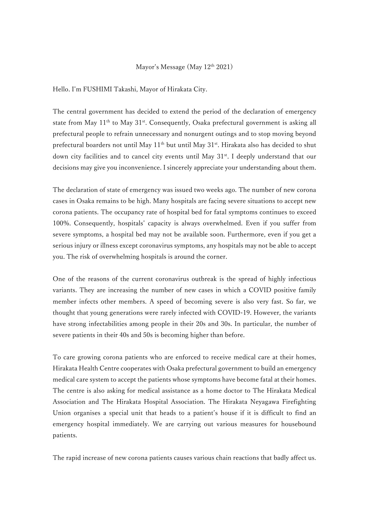## Mayor's Message (May  $12<sup>th</sup> 2021$ )

Hello. I'm FUSHIMI Takashi, Mayor of Hirakata City.

The central government has decided to extend the period of the declaration of emergency state from May  $11<sup>th</sup>$  to May  $31<sup>st</sup>$ . Consequently, Osaka prefectural government is asking all prefectural people to refrain unnecessary and nonurgent outings and to stop moving beyond prefectural boarders not until May  $11<sup>th</sup>$  but until May  $31<sup>st</sup>$ . Hirakata also has decided to shut down city facilities and to cancel city events until May 31<sup>st</sup>. I deeply understand that our decisions may give you inconvenience. I sincerely appreciate your understanding about them.

The declaration of state of emergency was issued two weeks ago. The number of new corona cases in Osaka remains to be high. Many hospitals are facing severe situations to accept new corona patients. The occupancy rate of hospital bed for fatal symptoms continues to exceed 100%. Consequently, hospitals' capacity is always overwhelmed. Even if you suffer from severe symptoms, a hospital bed may not be available soon. Furthermore, even if you get a serious injury or illness except coronavirus symptoms, any hospitals may not be able to accept you. The risk of overwhelming hospitals is around the corner.

One of the reasons of the current coronavirus outbreak is the spread of highly infectious variants. They are increasing the number of new cases in which a COVID positive family member infects other members. A speed of becoming severe is also very fast. So far, we thought that young generations were rarely infected with COVID-19. However, the variants have strong infectabilities among people in their 20s and 30s. In particular, the number of severe patients in their 40s and 50s is becoming higher than before.

To care growing corona patients who are enforced to receive medical care at their homes, Hirakata Health Centre cooperates with Osaka prefectural government to build an emergency medical care system to accept the patients whose symptoms have become fatal at their homes. The centre is also asking for medical assistance as a home doctor to The Hirakata Medical Association and The Hirakata Hospital Association. The Hirakata Neyagawa Firefighting Union organises a special unit that heads to a patient's house if it is difficult to find an emergency hospital immediately. We are carrying out various measures for housebound patients.

The rapid increase of new corona patients causes various chain reactions that badly affect us.